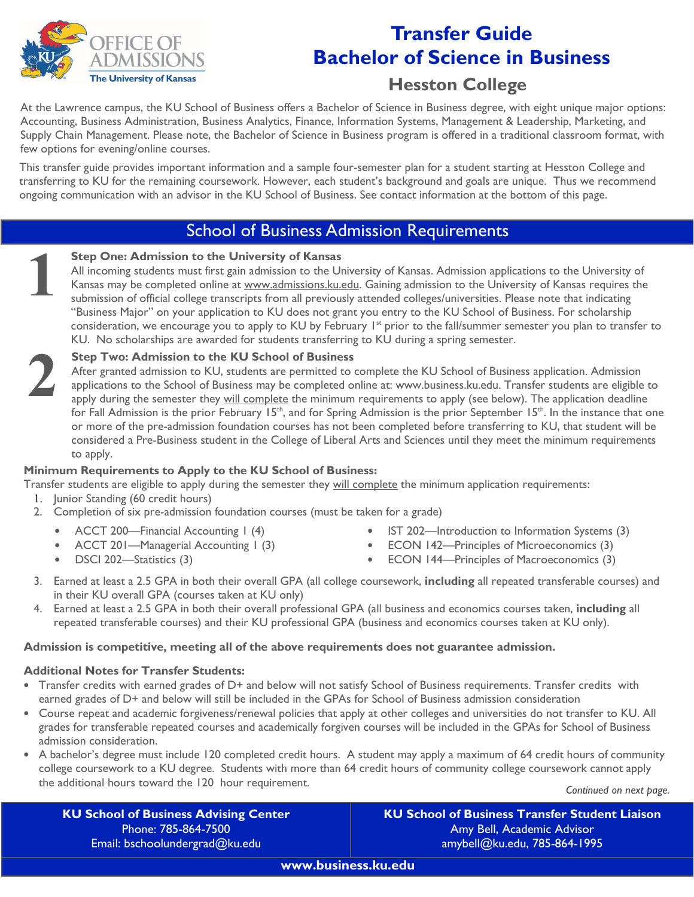

# **Transfer Guide Bachelor of Science in Business**

# **Hesston College**

At the Lawrence campus, the KU School of Business offers a Bachelor of Science in Business degree, with eight unique major options: Accounting, Business Administration, Business Analytics, Finance, Information Systems, Management & Leadership, Marketing, and Supply Chain Management. Please note, the Bachelor of Science in Business program is offered in a traditional classroom format, with few options for evening/online courses.

This transfer guide provides important information and a sample four-semester plan for a student starting at Hesston College and transferring to KU for the remaining coursework. However, each student's background and goals are unique. Thus we recommend ongoing communication with an advisor in the KU School of Business. See contact information at the bottom of this page.

## School of Business Admission Requirements

#### **Step One: Admission to the University of Kansas**

All incoming students must first gain admission to the University of Kansas. Admission applications to the University of Kansas may be completed online at www.admissions.ku.edu. Gaining admission to the University of Kansas requires the submission of official college transcripts from all previously attended colleges/universities. Please note that indicating "Business Major" on your application to KU does not grant you entry to the KU School of Business. For scholarship consideration, we encourage you to apply to KU by February  $1^{st}$  prior to the fall/summer semester you plan to transfer to KU. No scholarships are awarded for students transferring to KU during a spring semester.

# **2**

**1**

#### **Step Two: Admission to the KU School of Business**

After granted admission to KU, students are permitted to complete the KU School of Business application. Admission applications to the School of Business may be completed online at: www.business.ku.edu. Transfer students are eligible to apply during the semester they will complete the minimum requirements to apply (see below). The application deadline for Fall Admission is the prior February 15<sup>th</sup>, and for Spring Admission is the prior September 15<sup>th</sup>. In the instance that one or more of the pre-admission foundation courses has not been completed before transferring to KU, that student will be considered a Pre-Business student in the College of Liberal Arts and Sciences until they meet the minimum requirements to apply.

#### **Minimum Requirements to Apply to the KU School of Business:**

- Transfer students are eligible to apply during the semester they will complete the minimum application requirements: 1. Junior Standing (60 credit hours)
	- 2. Completion of six pre-admission foundation courses (must be taken for a grade)
		- ACCT 200—Financial Accounting 1 (4)
		- ACCT 201—Managerial Accounting 1 (3)
		- DSCI 202—Statistics (3)
- IST 202—Introduction to Information Systems (3)
- ECON 142—Principles of Microeconomics (3)
- ECON 144—Principles of Macroeconomics (3)
- 3. Earned at least a 2.5 GPA in both their overall GPA (all college coursework, **including** all repeated transferable courses) and in their KU overall GPA (courses taken at KU only)
- 4. Earned at least a 2.5 GPA in both their overall professional GPA (all business and economics courses taken, **including** all repeated transferable courses) and their KU professional GPA (business and economics courses taken at KU only).

#### **Admission is competitive, meeting all of the above requirements does not guarantee admission.**

#### **Additional Notes for Transfer Students:**

- Transfer credits with earned grades of D+ and below will not satisfy School of Business requirements. Transfer credits with earned grades of D+ and below will still be included in the GPAs for School of Business admission consideration
- Course repeat and academic forgiveness/renewal policies that apply at other colleges and universities do not transfer to KU. All grades for transferable repeated courses and academically forgiven courses will be included in the GPAs for School of Business admission consideration.
- A bachelor's degree must include 120 completed credit hours. A student may apply a maximum of 64 credit hours of community college coursework to a KU degree. Students with more than 64 credit hours of community college coursework cannot apply the additional hours toward the 120 hour requirement.

*Continued on next page.* 

**KU School of Business Advising Center**  Phone: 785-864-7500 Email: bschoolundergrad@ku.edu

**KU School of Business Transfer Student Liaison** Amy Bell, Academic Advisor amybell@ku.edu, 785-864-1995